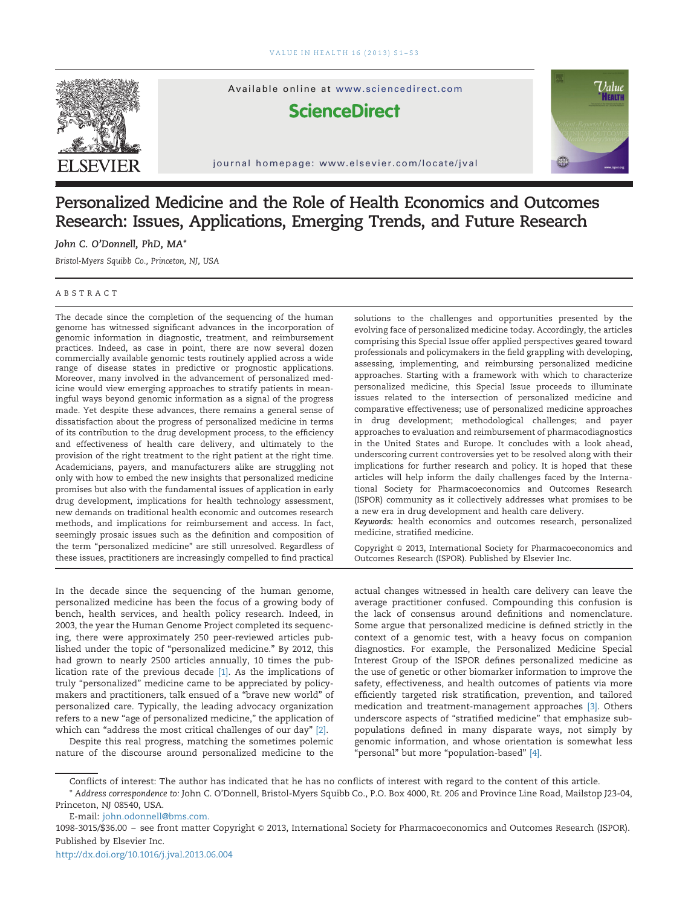

Available online at www.sciencedirect.com

**ScienceDirect** 

journal homepage: www.elsevier.com/locate/jval



## Personalized Medicine and the Role of Health Economics and Outcomes Research: Issues, Applications, Emerging Trends, and Future Research

John C. O'Donnell, PhD, MA\*

Bristol-Myers Squibb Co., Princeton, NJ, USA

## ABSTRACT

The decade since the completion of the sequencing of the human genome has witnessed significant advances in the incorporation of genomic information in diagnostic, treatment, and reimbursement practices. Indeed, as case in point, there are now several dozen commercially available genomic tests routinely applied across a wide range of disease states in predictive or prognostic applications. Moreover, many involved in the advancement of personalized medicine would view emerging approaches to stratify patients in meaningful ways beyond genomic information as a signal of the progress made. Yet despite these advances, there remains a general sense of dissatisfaction about the progress of personalized medicine in terms of its contribution to the drug development process, to the efficiency and effectiveness of health care delivery, and ultimately to the provision of the right treatment to the right patient at the right time. Academicians, payers, and manufacturers alike are struggling not only with how to embed the new insights that personalized medicine promises but also with the fundamental issues of application in early drug development, implications for health technology assessment, new demands on traditional health economic and outcomes research methods, and implications for reimbursement and access. In fact, seemingly prosaic issues such as the definition and composition of the term "personalized medicine" are still unresolved. Regardless of these issues, practitioners are increasingly compelled to find practical

solutions to the challenges and opportunities presented by the evolving face of personalized medicine today. Accordingly, the articles comprising this Special Issue offer applied perspectives geared toward professionals and policymakers in the field grappling with developing, assessing, implementing, and reimbursing personalized medicine approaches. Starting with a framework with which to characterize personalized medicine, this Special Issue proceeds to illuminate issues related to the intersection of personalized medicine and comparative effectiveness; use of personalized medicine approaches in drug development; methodological challenges; and payer approaches to evaluation and reimbursement of pharmacodiagnostics in the United States and Europe. It concludes with a look ahead, underscoring current controversies yet to be resolved along with their implications for further research and policy. It is hoped that these articles will help inform the daily challenges faced by the International Society for Pharmacoeconomics and Outcomes Research (ISPOR) community as it collectively addresses what promises to be a new era in drug development and health care delivery.

Keywords: health economics and outcomes research, personalized medicine, stratified medicine.

Copyright & 2013, International Society for Pharmacoeconomics and Outcomes Research (ISPOR). Published by Elsevier Inc.

In the decade since the sequencing of the human genome, personalized medicine has been the focus of a growing body of bench, health services, and health policy research. Indeed, in 2003, the year the Human Genome Project completed its sequencing, there were approximately 250 peer-reviewed articles published under the topic of "personalized medicine." By 2012, this had grown to nearly 2500 articles annually, 10 times the publication rate of the previous decade [\[1\]](#page--1-0). As the implications of truly "personalized" medicine came to be appreciated by policymakers and practitioners, talk ensued of a "brave new world" of personalized care. Typically, the leading advocacy organization refers to a new "age of personalized medicine," the application of which can "address the most critical challenges of our day" [\[2\].](#page--1-0)

Despite this real progress, matching the sometimes polemic nature of the discourse around personalized medicine to the actual changes witnessed in health care delivery can leave the average practitioner confused. Compounding this confusion is the lack of consensus around definitions and nomenclature. Some argue that personalized medicine is defined strictly in the context of a genomic test, with a heavy focus on companion diagnostics. For example, the Personalized Medicine Special Interest Group of the ISPOR defines personalized medicine as the use of genetic or other biomarker information to improve the safety, effectiveness, and health outcomes of patients via more efficiently targeted risk stratification, prevention, and tailored medication and treatment-management approaches [\[3\].](#page--1-0) Others underscore aspects of "stratified medicine" that emphasize subpopulations defined in many disparate ways, not simply by genomic information, and whose orientation is somewhat less "personal" but more "population-based" [\[4\].](#page--1-0)

Conflicts of interest: The author has indicated that he has no conflicts of interest with regard to the content of this article.

1098-3015/\$36.00 – see front matter Copyright & 2013, International Society for Pharmacoeconomics and Outcomes Research (ISPOR). Published by Elsevier Inc.

<sup>\*</sup> Address correspondence to: John C. O'Donnell, Bristol-Myers Squibb Co., P.O. Box 4000, Rt. 206 and Province Line Road, Mailstop J23-04, Princeton, NJ 08540, USA.

E-mail: [john.odonnell@bms.com](mailto:john.odonnell@bms.com).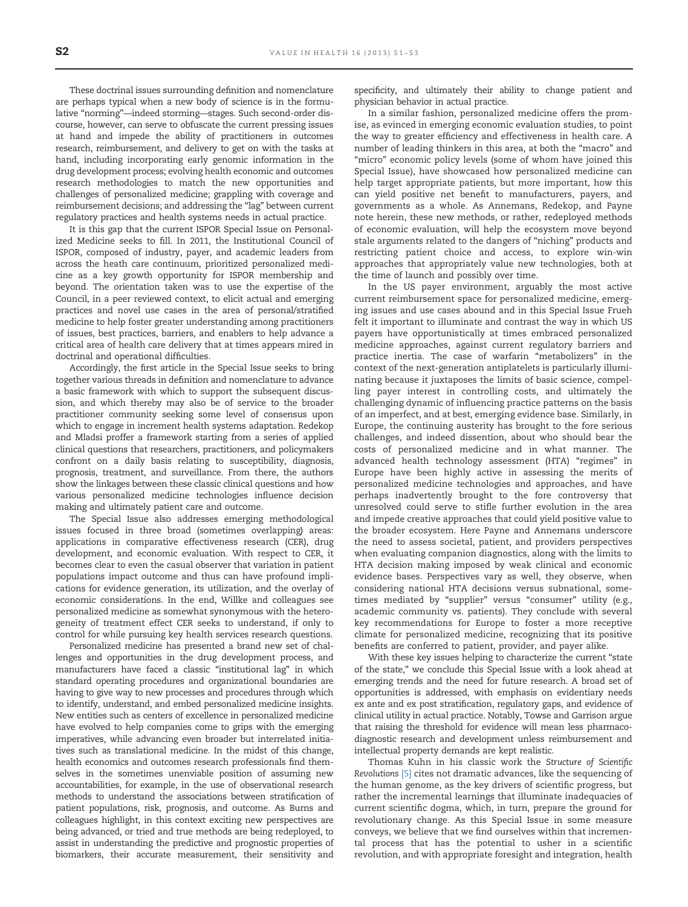These doctrinal issues surrounding definition and nomenclature are perhaps typical when a new body of science is in the formulative "norming"—indeed storming—stages. Such second-order discourse, however, can serve to obfuscate the current pressing issues at hand and impede the ability of practitioners in outcomes research, reimbursement, and delivery to get on with the tasks at hand, including incorporating early genomic information in the drug development process; evolving health economic and outcomes research methodologies to match the new opportunities and challenges of personalized medicine; grappling with coverage and reimbursement decisions; and addressing the "lag" between current regulatory practices and health systems needs in actual practice.

It is this gap that the current ISPOR Special Issue on Personalized Medicine seeks to fill. In 2011, the Institutional Council of ISPOR, composed of industry, payer, and academic leaders from across the heath care continuum, prioritized personalized medicine as a key growth opportunity for ISPOR membership and beyond. The orientation taken was to use the expertise of the Council, in a peer reviewed context, to elicit actual and emerging practices and novel use cases in the area of personal/stratified medicine to help foster greater understanding among practitioners of issues, best practices, barriers, and enablers to help advance a critical area of health care delivery that at times appears mired in doctrinal and operational difficulties.

Accordingly, the first article in the Special Issue seeks to bring together various threads in definition and nomenclature to advance a basic framework with which to support the subsequent discussion, and which thereby may also be of service to the broader practitioner community seeking some level of consensus upon which to engage in increment health systems adaptation. Redekop and Mladsi proffer a framework starting from a series of applied clinical questions that researchers, practitioners, and policymakers confront on a daily basis relating to susceptibility, diagnosis, prognosis, treatment, and surveillance. From there, the authors show the linkages between these classic clinical questions and how various personalized medicine technologies influence decision making and ultimately patient care and outcome.

The Special Issue also addresses emerging methodological issues focused in three broad (sometimes overlapping) areas: applications in comparative effectiveness research (CER), drug development, and economic evaluation. With respect to CER, it becomes clear to even the casual observer that variation in patient populations impact outcome and thus can have profound implications for evidence generation, its utilization, and the overlay of economic considerations. In the end, Willke and colleagues see personalized medicine as somewhat synonymous with the heterogeneity of treatment effect CER seeks to understand, if only to control for while pursuing key health services research questions.

Personalized medicine has presented a brand new set of challenges and opportunities in the drug development process, and manufacturers have faced a classic "institutional lag" in which standard operating procedures and organizational boundaries are having to give way to new processes and procedures through which to identify, understand, and embed personalized medicine insights. New entities such as centers of excellence in personalized medicine have evolved to help companies come to grips with the emerging imperatives, while advancing even broader but interrelated initiatives such as translational medicine. In the midst of this change, health economics and outcomes research professionals find themselves in the sometimes unenviable position of assuming new accountabilities, for example, in the use of observational research methods to understand the associations between stratification of patient populations, risk, prognosis, and outcome. As Burns and colleagues highlight, in this context exciting new perspectives are being advanced, or tried and true methods are being redeployed, to assist in understanding the predictive and prognostic properties of biomarkers, their accurate measurement, their sensitivity and

specificity, and ultimately their ability to change patient and physician behavior in actual practice.

In a similar fashion, personalized medicine offers the promise, as evinced in emerging economic evaluation studies, to point the way to greater efficiency and effectiveness in health care. A number of leading thinkers in this area, at both the "macro" and "micro" economic policy levels (some of whom have joined this Special Issue), have showcased how personalized medicine can help target appropriate patients, but more important, how this can yield positive net benefit to manufacturers, payers, and governments as a whole. As Annemans, Redekop, and Payne note herein, these new methods, or rather, redeployed methods of economic evaluation, will help the ecosystem move beyond stale arguments related to the dangers of "niching" products and restricting patient choice and access, to explore win-win approaches that appropriately value new technologies, both at the time of launch and possibly over time.

In the US payer environment, arguably the most active current reimbursement space for personalized medicine, emerging issues and use cases abound and in this Special Issue Frueh felt it important to illuminate and contrast the way in which US payers have opportunistically at times embraced personalized medicine approaches, against current regulatory barriers and practice inertia. The case of warfarin "metabolizers" in the context of the next-generation antiplatelets is particularly illuminating because it juxtaposes the limits of basic science, compelling payer interest in controlling costs, and ultimately the challenging dynamic of influencing practice patterns on the basis of an imperfect, and at best, emerging evidence base. Similarly, in Europe, the continuing austerity has brought to the fore serious challenges, and indeed dissention, about who should bear the costs of personalized medicine and in what manner. The advanced health technology assessment (HTA) "regimes" in Europe have been highly active in assessing the merits of personalized medicine technologies and approaches, and have perhaps inadvertently brought to the fore controversy that unresolved could serve to stifle further evolution in the area and impede creative approaches that could yield positive value to the broader ecosystem. Here Payne and Annemans underscore the need to assess societal, patient, and providers perspectives when evaluating companion diagnostics, along with the limits to HTA decision making imposed by weak clinical and economic evidence bases. Perspectives vary as well, they observe, when considering national HTA decisions versus subnational, sometimes mediated by "supplier" versus "consumer" utility (e.g., academic community vs. patients). They conclude with several key recommendations for Europe to foster a more receptive climate for personalized medicine, recognizing that its positive benefits are conferred to patient, provider, and payer alike.

With these key issues helping to characterize the current "state of the state," we conclude this Special Issue with a look ahead at emerging trends and the need for future research. A broad set of opportunities is addressed, with emphasis on evidentiary needs ex ante and ex post stratification, regulatory gaps, and evidence of clinical utility in actual practice. Notably, Towse and Garrison argue that raising the threshold for evidence will mean less pharmacodiagnostic research and development unless reimbursement and intellectual property demands are kept realistic.

Thomas Kuhn in his classic work the Structure of Scientific Revolutions [\[5\]](#page--1-0) cites not dramatic advances, like the sequencing of the human genome, as the key drivers of scientific progress, but rather the incremental learnings that illuminate inadequacies of current scientific dogma, which, in turn, prepare the ground for revolutionary change. As this Special Issue in some measure conveys, we believe that we find ourselves within that incremental process that has the potential to usher in a scientific revolution, and with appropriate foresight and integration, health